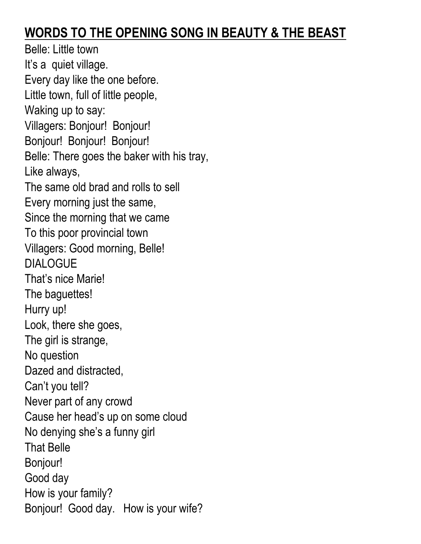## **WORDS TO THE OPENING SONG IN BEAUTY & THE BEAST**

Belle: Little town It's a quiet village. Every day like the one before. Little town, full of little people, Waking up to say: Villagers: Bonjour! Bonjour! Bonjour! Bonjour! Bonjour! Belle: There goes the baker with his tray, Like always, The same old brad and rolls to sell Every morning just the same, Since the morning that we came To this poor provincial town Villagers: Good morning, Belle! DIALOGUE That's nice Marie! The baguettes! Hurry up! Look, there she goes, The girl is strange, No question Dazed and distracted, Can't you tell? Never part of any crowd Cause her head's up on some cloud No denying she's a funny girl That Belle Bonjour! Good day How is your family? Bonjour! Good day. How is your wife?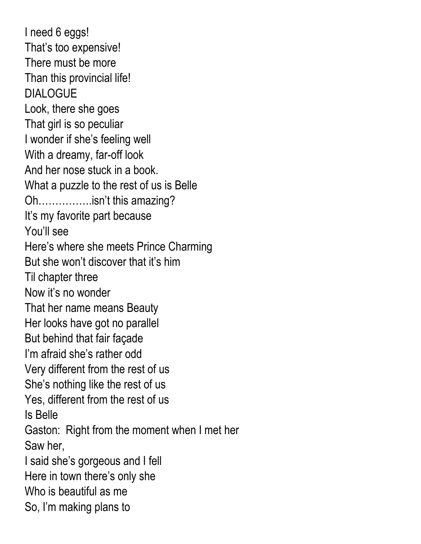I need 6 eggs! That's too expensive! There must be more Than this provincial life! DIALOGUE Look, there she goes That girl is so peculiar I wonder if she's feeling well With a dreamy, far-off look And her nose stuck in a book. What a puzzle to the rest of us is Belle Oh…………….isn't this amazing? It's my favorite part because You'll see Here's where she meets Prince Charming But she won't discover that it's him Til chapter three Now it's no wonder That her name means Beauty Her looks have got no parallel But behind that fair façade I'm afraid she's rather odd Very different from the rest of us She's nothing like the rest of us Yes, different from the rest of us Is Belle Gaston: Right from the moment when I met her Saw her, I said she's gorgeous and I fell Here in town there's only she Who is beautiful as me So, I'm making plans to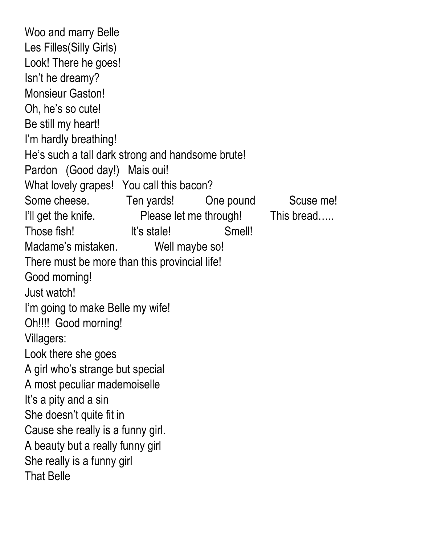Woo and marry Belle Les Filles(Silly Girls) Look! There he goes! Isn't he dreamy? Monsieur Gaston! Oh, he's so cute! Be still my heart! I'm hardly breathing! He's such a tall dark strong and handsome brute! Pardon (Good day!) Mais oui! What lovely grapes! You call this bacon? Some cheese. Ten yards! One pound Scuse me! I'll get the knife. Please let me through! This bread..... Those fish! It's stale! Smell! Madame's mistaken. Well maybe so! There must be more than this provincial life! Good morning! Just watch! I'm going to make Belle my wife! Oh!!!! Good morning! Villagers: Look there she goes A girl who's strange but special A most peculiar mademoiselle It's a pity and a sin She doesn't quite fit in Cause she really is a funny girl. A beauty but a really funny girl She really is a funny girl That Belle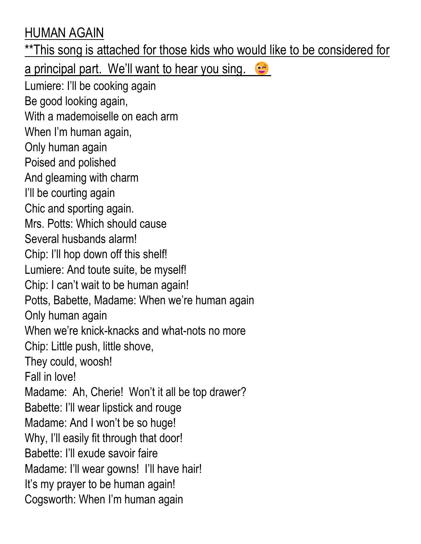## HUMAN AGAIN

\*\*This song is attached for those kids who would like to be considered for

a principal part. We'll want to hear you sing.  $\bullet$ 

Lumiere: I'll be cooking again

Be good looking again,

With a mademoiselle on each arm

When I'm human again,

Only human again

Poised and polished

And gleaming with charm

I'll be courting again

Chic and sporting again.

Mrs. Potts: Which should cause

Several husbands alarm!

Chip: I'll hop down off this shelf!

Lumiere: And toute suite, be myself!

Chip: I can't wait to be human again!

Potts, Babette, Madame: When we're human again

Only human again

When we're knick-knacks and what-nots no more

Chip: Little push, little shove,

They could, woosh!

Fall in love!

Madame: Ah, Cherie! Won't it all be top drawer?

Babette: I'll wear lipstick and rouge

Madame: And I won't be so huge!

Why, I'll easily fit through that door!

Babette: I'll exude savoir faire

Madame: I'll wear gowns! I'll have hair!

It's my prayer to be human again!

Cogsworth: When I'm human again